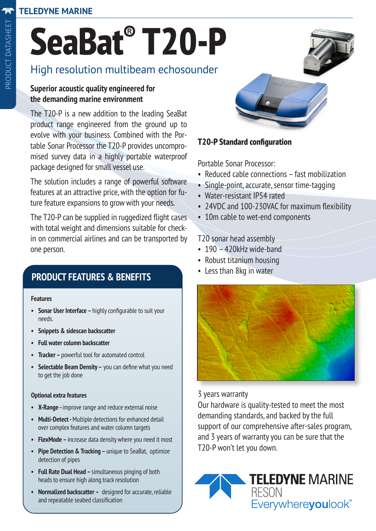# **SeaBat® T20-P**

# High resolution multibeam echosounder

#### **Superior acoustic quality engineered for the demanding marine environment**

The T20-P is a new addition to the leading SeaBat product range engineered from the ground up to evolve with your business. Combined with the Portable Sonar Processor the T20-P provides uncompromised survey data in a highly portable waterproof package designed for small vessel use.

The solution includes a range of powerful software features at an attractive price, with the option for future feature expansions to grow with your needs.

The T20-P can be supplied in ruggedized flight cases with total weight and dimensions suitable for checkin on commercial airlines and can be transported by one person.

# **PRODUCT FEATURES & BENEFITS**

#### **Features**

- **• Sonar User Interface** highly configurable to suit your needs.
- **• Snippets & sidescan backscatter**
- **• Full water column backscatter**
- **• Tracker** powerful tool for automated control
- **• Selectable Beam Density –** you can define what you need to get the job done

#### **Optional extra features**

- **• X-Range** improve range and reduce external noise
- **• Multi-Detect** Multiple detections for enhanced detail over complex features and water column targets
- **• FlexMode** increase data density where you need it most
- **• Pipe Detection & Tracking** unique to SeaBat, optimize detection of pipes
- **• Full Rate Dual Head** simultaneous pinging of both heads to ensure high along track resolution
- **• Normalized backscatter –** designed for accurate, reliable and repeatable seabed classification



#### **T20-P Standard configuration**

Portable Sonar Processor:

- Reduced cable connections fast mobilization
- Single-point, accurate, sensor time-tagging
- Water-resistant IP54 rated
- 24VDC and 100-230VAC for maximum flexibility
- 10m cable to wet-end components

#### T20 sonar head assembly

- 190 420kHz wide-band
- Robust titanium housing
- Less than 8kg in water



3 years warranty

Our hardware is quality-tested to meet the most demanding standards, and backed by the full support of our comprehensive after-sales program, and 3 years of warranty you can be sure that the T20-P won't let you down.